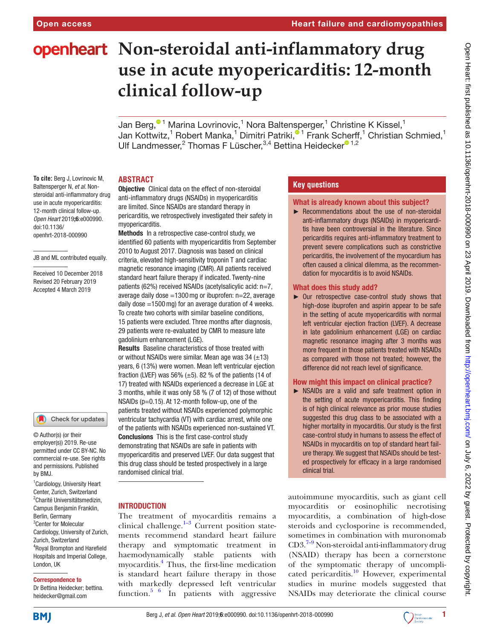# **openheart** Non-steroidal anti-inflammatory drug **use in acute myopericarditis: 12-month clinical follow-up**

Jan Berg,<sup>® 1</sup> Marina Lovrinovic,<sup>1</sup> Nora Baltensperger,<sup>1</sup> Christine K Kissel,<sup>1</sup> Jan Kottwitz,<sup>1</sup> Robert Manka,<sup>1</sup> Dimitri Patriki,<sup>® 1</sup> Frank Scherff,<sup>1</sup> Christian Schmied,<sup>1</sup> Ulf Landmesser,<sup>2</sup> Thomas F Lüscher,<sup>3,4</sup> Bettina Heidecker<sup>® 1,2</sup>

## **Abstract**

**To cite:** Berg J, Lovrinovic M, Baltensperger N*, et al*. Nonsteroidal anti-inflammatory drug use in acute myopericarditis: 12-month clinical follow-up*. Open Heart* 2019;6:e000990. doi:10.1136/ openhrt-2018-000990

#### JB and ML contributed equally.

Received 10 December 2018 Revised 20 February 2019 Accepted 4 March 2019

#### Check for updates

© Author(s) (or their employer(s)) 2019. Re-use permitted under CC BY-NC. No commercial re-use. See rights and permissions. Published by BMJ.

<sup>1</sup> Cardiology, University Heart Center, Zurich, Switzerland 2 Charité Universitätsmedizin, Campus Benjamin Franklin, Berlin, Germany 3 Center for Molecular Cardiology, University of Zurich, Zurich, Switzerland 4 Royal Brompton and Harefield Hospitals and Imperial College, London, UK

#### Correspondence to

Dr Bettina Heidecker; bettina. heidecker@gmail.com

Objective Clinical data on the effect of non-steroidal anti-inflammatory drugs (NSAIDs) in myopericarditis are limited. Since NSAIDs are standard therapy in pericarditis, we retrospectively investigated their safety in myopericarditis.

Methods In a retrospective case-control study, we identified 60 patients with myopericarditis from September 2010 to August 2017. Diagnosis was based on clinical criteria, elevated high-sensitivity troponin T and cardiac magnetic resonance imaging (CMR). All patients received standard heart failure therapy if indicated. Twenty-nine patients (62%) received NSAIDs (acetylsalicylic acid: n=7, average daily dose  $=1300$  mg or ibuprofen:  $n=22$ , average daily dose =1500mg) for an average duration of 4 weeks. To create two cohorts with similar baseline conditions, 15 patients were excluded. Three months after diagnosis, 29 patients were re-evaluated by CMR to measure late gadolinium enhancement (LGE).

Results Baseline characteristics of those treated with or without NSAIDs were similar. Mean age was  $34$  ( $\pm$ 13) years, 6 (13%) were women. Mean left ventricular ejection fraction (LVEF) was 56%  $(\pm 5)$ . 82 % of the patients (14 of 17) treated with NSAIDs experienced a decrease in LGE at 3 months, while it was only 58 % (7 of 12) of those without NSAIDs (p=0.15). At 12-month follow-up, one of the patients treated without NSAIDs experienced polymorphic ventricular tachycardia (VT) with cardiac arrest, while one of the patients with NSAIDs experienced non-sustained VT. Conclusions This is the first case-control study demonstrating that NSAIDs are safe in patients with myopericarditis and preserved LVEF. Our data suggest that this drug class should be tested prospectively in a large randomised clinical trial.

## **INTRODUCTION**

The treatment of myocarditis remains a clinical challenge. $1-3$  Current position statements recommend standard heart failure therapy and symptomatic treatment in haemodynamically stable patients with myocarditis.[4](#page-5-1) Thus, the first-line medication is standard heart failure therapy in those with markedly depressed left ventricular function.<sup>5 6</sup> In patients with aggressive

# **Key questions**

### What is already known about this subject?

► Recommendations about the use of non-steroidal anti-inflammatory drugs (NSAIDs) in myopericarditis have been controversial in the literature. Since pericarditis requires anti-inflammatory treatment to prevent severe complications such as constrictive pericarditis, the involvement of the myocardium has often caused a clinical dilemma, as the recommendation for myocarditis is to avoid NSAIDs.

## What does this study add?

► Our retrospective case-control study shows that high-dose ibuprofen and aspirin appear to be safe in the setting of acute myopericarditis with normal left ventricular ejection fraction (LVEF). A decrease in late gadolinium enhancement (LGE) on cardiac magnetic resonance imaging after 3 months was more frequent in those patients treated with NSAIDs as compared with those not treated; however, the difference did not reach level of significance.

## How might this impact on clinical practice?

► NSAIDs are a valid and safe treatment option in the setting of acute myopericarditis. This finding is of high clinical relevance as prior mouse studies suggested this drug class to be associated with a higher mortality in myocarditis. Our study is the first case-control study in humans to assess the effect of NSAIDs in myocarditis on top of standard heart failure therapy. We suggest that NSAIDs should be tested prospectively for efficacy in a large randomised clinical trial.

autoimmune myocarditis, such as giant cell myocarditis or eosinophilic necrotising myocarditis, a combination of high-dose steroids and cyclosporine is recommended, sometimes in combination with muronomab  $CD3.^{7-9}$  Non-steroidal anti-inflammatory drug (NSAID) therapy has been a cornerstone of the symptomatic therapy of uncomplicated pericarditis.<sup>10</sup> However, experimental studies in murine models suggested that NSAIDs may deteriorate the clinical course

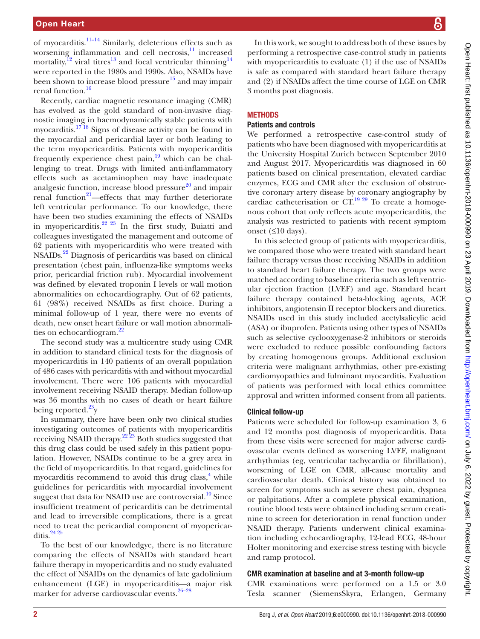of myocarditis.[11–14](#page-6-1) Similarly, deleterious effects such as worsening inflammation and cell necrosis, $\frac{11}{11}$  increased mortality, $^{12}$  $^{12}$  $^{12}$  viral titres<sup>13</sup> and focal ventricular thinning<sup>14</sup> were reported in the 1980s and 1990s. Also, NSAIDs have been shown to increase blood pressure<sup>15</sup> and may impair renal function.<sup>[16](#page-6-6)</sup>

Recently, cardiac magnetic resonance imaging (CMR) has evolved as the gold standard of non-invasive diagnostic imaging in haemodynamically stable patients with myocarditis[.17 18](#page-6-7) Signs of disease activity can be found in the myocardial and pericardial layer or both leading to the term myopericarditis. Patients with myopericarditis frequently experience chest pain, $19$  which can be challenging to treat. Drugs with limited anti-inflammatory effects such as acetaminophen may have inadequate analgesic function, increase blood pressure $20$  and impair renal function<sup>21</sup>—effects that may further deteriorate left ventricular performance. To our knowledge, there have been two studies examining the effects of NSAIDs in myopericarditis. $22 \times 23$  In the first study, Buiatti and colleagues investigated the management and outcome of 62 patients with myopericarditis who were treated with NSAIDs.[22](#page-6-11) Diagnosis of pericarditis was based on clinical presentation (chest pain, influenza-like symptoms weeks prior, pericardial friction rub). Myocardial involvement was defined by elevated troponin I levels or wall motion abnormalities on echocardiography. Out of 62 patients, 61 (98%) received NSAIDs as first choice. During a minimal follow-up of 1 year, there were no events of death, new onset heart failure or wall motion abnormali-ties on echocardiogram.<sup>[22](#page-6-11)</sup>

The second study was a multicentre study using CMR in addition to standard clinical tests for the diagnosis of myopericarditis in 140 patients of an overall population of 486 cases with pericarditis with and without myocardial involvement. There were 106 patients with myocardial involvement receiving NSAID therapy. Median follow-up was 36 months with no cases of death or heart failure being reported.<sup>23</sup>y

In summary, there have been only two clinical studies investigating outcomes of patients with myopericarditis receiving NSAID therapy.<sup>[22 23](#page-6-11)</sup> Both studies suggested that this drug class could be used safely in this patient population. However, NSAIDs continue to be a grey area in the field of myopericarditis. In that regard, guidelines for myocarditis recommend to avoid this drug class, $<sup>4</sup>$  while</sup> guidelines for pericarditis with myocardial involvement suggest that data for NSAID use are controversial.<sup>[10](#page-6-0)</sup> Since insufficient treatment of pericarditis can be detrimental and lead to irreversible complications, there is a great need to treat the pericardial component of myopericarditis. $2425$ 

To the best of our knowledgye, there is no literature comparing the effects of NSAIDs with standard heart failure therapy in myopericarditis and no study evaluated the effect of NSAIDs on the dynamics of late gadolinium enhancement (LGE) in myopericarditis—a major risk marker for adverse cardiovascular events.<sup>26-28</sup>

In this work, we sought to address both of these issues by performing a retrospective case-control study in patients with myopericarditis to evaluate (1) if the use of NSAIDs is safe as compared with standard heart failure therapy and (2) if NSAIDs affect the time course of LGE on CMR 3 months post diagnosis.

## **METHODS**

#### Patients and controls

We performed a retrospective case-control study of patients who have been diagnosed with myopericarditis at the University Hospital Zurich between September 2010 and August 2017. Myopericarditis was diagnosed in 60 patients based on clinical presentation, elevated cardiac enzymes, ECG and CMR after the exclusion of obstructive coronary artery disease by coronary angiography by cardiac catheterisation or  $CT<sup>19 29</sup>$  $CT<sup>19 29</sup>$  $CT<sup>19 29</sup>$  To create a homogenous cohort that only reflects acute myopericarditis, the analysis was restricted to patients with recent symptom onset  $(≤10 \text{ days}).$ 

In this selected group of patients with myopericarditis, we compared those who were treated with standard heart failure therapy versus those receiving NSAIDs in addition to standard heart failure therapy. The two groups were matched according to baseline criteria such as left ventricular ejection fraction (LVEF) and age. Standard heart failure therapy contained beta-blocking agents, ACE inhibitors, angiotensin II receptor blockers and diuretics. NSAIDs used in this study included acetylsalicylic acid (ASA) or ibuprofen. Patients using other types of NSAIDs such as selective cyclooxygenase-2 inhibitors or steroids were excluded to reduce possible confounding factors by creating homogenous groups. Additional exclusion criteria were malignant arrhythmias, other pre-existing cardiomyopathies and fulminant myocarditis. Evaluation of patients was performed with local ethics committee approval and written informed consent from all patients.

#### Clinical follow-up

Patients were scheduled for follow-up examination 3, 6 and 12 months post diagnosis of myopericarditis. Data from these visits were screened for major adverse cardiovascular events defined as worsening LVEF, malignant arrhythmias (eg, ventricular tachycardia or fibrillation), worsening of LGE on CMR, all-cause mortality and cardiovascular death. Clinical history was obtained to screen for symptoms such as severe chest pain, dyspnea or palpitations. After a complete physical examination, routine blood tests were obtained including serum creatinine to screen for deterioration in renal function under NSAID therapy. Patients underwent clinical examination including echocardiography, 12-lead ECG, 48-hour Holter monitoring and exercise stress testing with bicycle and ramp protocol.

#### CMR examination at baseline and at 3-month follow-up

CMR examinations were performed on a 1.5 or 3.0 Tesla scanner (SiemensSkyra, Erlangen, Germany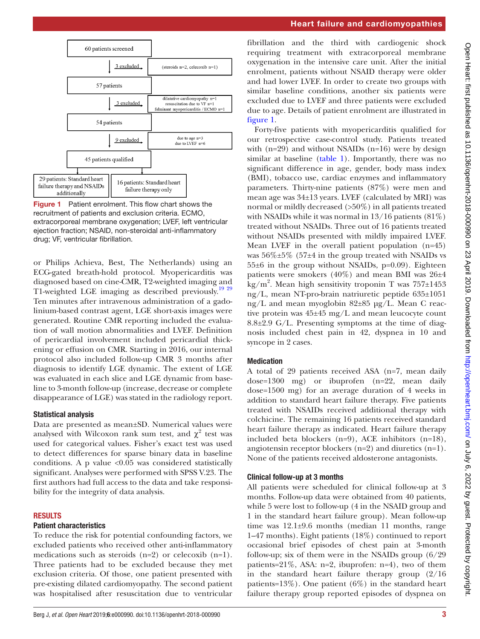

<span id="page-2-0"></span>**Figure 1** Patient enrolment. This flow chart shows the recruitment of patients and exclusion criteria. ECMO, extracorporeal membrane oxygenation; LVEF, left ventricular ejection fraction; NSAID, non-steroidal anti-inflammatory drug; VF, ventricular fibrillation.

or Philips Achieva, Best, The Netherlands) using an ECG-gated breath-hold protocol. Myopericarditis was diagnosed based on cine-CMR, T2-weighted imaging and T1-weighted LGE imaging as described previously.<sup>19</sup> <sup>29</sup> Ten minutes after intravenous administration of a gadolinium-based contrast agent, LGE short-axis images were generated. Routine CMR reporting included the evaluation of wall motion abnormalities and LVEF. Definition of pericardial involvement included pericardial thickening or effusion on CMR. Starting in 2016, our internal protocol also included follow-up CMR 3 months after diagnosis to identify LGE dynamic. The extent of LGE was evaluated in each slice and LGE dynamic from baseline to 3-month follow-up (increase, decrease or complete disappearance of LGE) was stated in the radiology report.

## Statistical analysis

Data are presented as mean±SD. Numerical values were analysed with Wilcoxon rank sum test, and  $\chi^2$  test was used for categorical values. Fisher's exact test was used to detect differences for sparse binary data in baseline conditions. A p value  $\langle 0.05 \rangle$  was considered statistically significant. Analyses were performed with SPSS V.23. The first authors had full access to the data and take responsibility for the integrity of data analysis.

## RESULTS

## Patient characteristics

To reduce the risk for potential confounding factors, we excluded patients who received other anti-inflammatory medications such as steroids  $(n=2)$  or celecoxib  $(n=1)$ . Three patients had to be excluded because they met exclusion criteria. Of those, one patient presented with pre-existing dilated cardiomyopathy. The second patient was hospitalised after resuscitation due to ventricular

fibrillation and the third with cardiogenic shock requiring treatment with extracorporeal membrane oxygenation in the intensive care unit. After the initial enrolment, patients without NSAID therapy were older and had lower LVEF. In order to create two groups with similar baseline conditions, another six patients were excluded due to LVEF and three patients were excluded due to age. Details of patient enrolment are illustrated in [figure](#page-2-0) 1.

Forty-five patients with myopericarditis qualified for our retrospective case-control study. Patients treated with  $(n=29)$  and without NSAIDs  $(n=16)$  were by design similar at baseline ([table](#page-3-0) 1). Importantly, there was no significant difference in age, gender, body mass index (BMI), tobacco use, cardiac enzymes and inflammatory parameters. Thirty-nine patients (87%) were men and mean age was 34±13 years. LVEF (calculated by MRI) was normal or mildly decreased (>50%) in all patients treated with NSAIDs while it was normal in  $13/16$  patients (81%) treated without NSAIDs. Three out of 16 patients treated without NSAIDs presented with mildly impaired LVEF. Mean LVEF in the overall patient population (n=45) was  $56\% \pm 5\%$  (57 $\pm 4$  in the group treated with NSAIDs vs 55±6 in the group without NSAIDs, p=0.09). Eighteen patients were smokers  $(40\%)$  and mean BMI was  $26\pm4$  $\text{kg/m}^2$ . Mean high sensitivity troponin T was 757±1453 ng/L, mean NT-pro-brain natriuretic peptide 635±1051 ng/L and mean myoglobin 82±85 µg/L. Mean C reactive protein was 45±45 mg/L and mean leucocyte count 8.8±2.9 G/L. Presenting symptoms at the time of diagnosis included chest pain in 42, dyspnea in 10 and syncope in 2 cases.

# Medication

A total of 29 patients received ASA (n=7, mean daily dose=1300 mg) or ibuprofen (n=22, mean daily dose=1500 mg) for an average duration of 4 weeks in addition to standard heart failure therapy. Five patients treated with NSAIDs received additional therapy with colchicine. The remaining 16 patients received standard heart failure therapy as indicated. Heart failure therapy included beta blockers (n=9), ACE inhibitors (n=18), angiotensin receptor blockers (n=2) and diuretics (n=1). None of the patients received aldosterone antagonists.

# Clinical follow-up at 3 months

All patients were scheduled for clinical follow-up at 3 months. Follow-up data were obtained from 40 patients, while 5 were lost to follow-up (4 in the NSAID group and 1 in the standard heart failure group). Mean follow-up time was 12.1±9.6 months (median 11 months, range 1–47 months). Eight patients (18%) continued to report occasional brief episodes of chest pain at 3-month follow-up; six of them were in the NSAIDs group  $(6/29)$ patients= $21\%$ , ASA: n=2, ibuprofen: n=4), two of them in the standard heart failure therapy group (2/16 patients=13%). One patient (6%) in the standard heart failure therapy group reported episodes of dyspnea on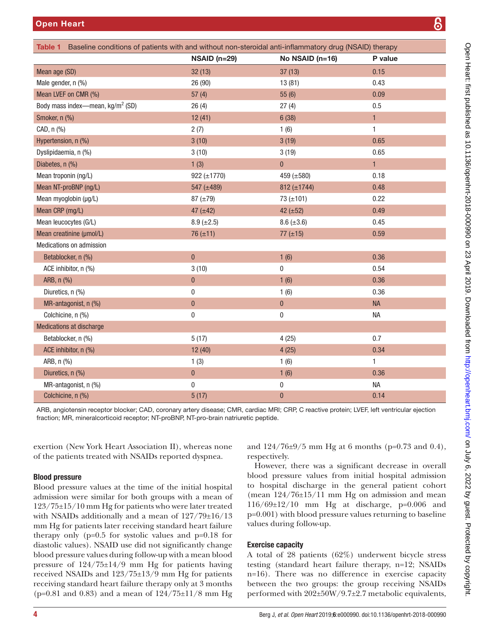<span id="page-3-0"></span>

| Table 1 Baseline conditions of patients with and without non-steroidal anti-inflammatory drug (NSAID) therapy |                  |                 |              |
|---------------------------------------------------------------------------------------------------------------|------------------|-----------------|--------------|
|                                                                                                               | $NSAID$ (n=29)   | No NSAID (n=16) | P value      |
| Mean age (SD)                                                                                                 | 32(13)           | 37(13)          | 0.15         |
| Male gender, n (%)                                                                                            | 26 (90)          | 13(81)          | 0.43         |
| Mean LVEF on CMR (%)                                                                                          | 57(4)            | 55(6)           | 0.09         |
| Body mass index-mean, kg/m <sup>2</sup> (SD)                                                                  | 26(4)            | 27(4)           | 0.5          |
| Smoker, n (%)                                                                                                 | 12(41)           | 6(38)           | $\mathbf{1}$ |
| CAD, n (%)                                                                                                    | 2(7)             | 1(6)            | $\mathbf{1}$ |
| Hypertension, n (%)                                                                                           | 3(10)            | 3(19)           | 0.65         |
| Dyslipidaemia, n (%)                                                                                          | 3(10)            | 3(19)           | 0.65         |
| Diabetes, n (%)                                                                                               | 1(3)             | $\pmb{0}$       | $\mathbf{1}$ |
| Mean troponin (ng/L)                                                                                          | 922 $(\pm 1770)$ | 459 (±580)      | 0.18         |
| Mean NT-proBNP (ng/L)                                                                                         | 547 (±489)       | 812 (±1744)     | 0.48         |
| Mean myoglobin (µg/L)                                                                                         | 87 $(\pm 79)$    | 73 $(\pm 101)$  | 0.22         |
| Mean CRP (mg/L)                                                                                               | 47 $(\pm 42)$    | 42 $(\pm 52)$   | 0.49         |
| Mean leucocytes (G/L)                                                                                         | $8.9 (\pm 2.5)$  | $8.6 (\pm 3.6)$ | 0.45         |
| Mean creatinine (µmol/L)                                                                                      | $76 (\pm 11)$    | 77 $(\pm 15)$   | 0.59         |
| Medications on admission                                                                                      |                  |                 |              |
| Betablocker, n (%)                                                                                            | $\pmb{0}$        | 1(6)            | 0.36         |
| ACE inhibitor, n (%)                                                                                          | 3(10)            | 0               | 0.54         |
| ARB, n (%)                                                                                                    | $\bf{0}$         | 1(6)            | 0.36         |
| Diuretics, n (%)                                                                                              | 0                | 1(6)            | 0.36         |
| MR-antagonist, n (%)                                                                                          | $\pmb{0}$        | $\pmb{0}$       | <b>NA</b>    |
| Colchicine, n (%)                                                                                             | $\pmb{0}$        | $\pmb{0}$       | NA           |
| <b>Medications at discharge</b>                                                                               |                  |                 |              |
| Betablocker, n (%)                                                                                            | 5(17)            | 4(25)           | 0.7          |
| ACE inhibitor, n (%)                                                                                          | 12(40)           | 4(25)           | 0.34         |
| ARB, n (%)                                                                                                    | 1(3)             | 1(6)            | $\mathbf{1}$ |
| Diuretics, n (%)                                                                                              | $\pmb{0}$        | 1(6)            | 0.36         |
| MR-antagonist, n (%)                                                                                          | $\bf{0}$         | 0               | <b>NA</b>    |
| Colchicine, n (%)                                                                                             | 5(17)            | $\pmb{0}$       | 0.14         |

ARB, angiotensin receptor blocker; CAD, coronary artery disease; CMR, cardiac MRI; CRP, C reactive protein; LVEF, left ventricular ejection fraction; MR, mineralcorticoid receptor; NT-proBNP, NT-pro-brain natriuretic peptide.

exertion (New York Heart Association II), whereas none of the patients treated with NSAIDs reported dyspnea.

## Blood pressure

Blood pressure values at the time of the initial hospital admission were similar for both groups with a mean of 123/75±15/10 mm Hg for patients who were later treated with NSAIDs additionally and a mean of 127/79±16/13 mm Hg for patients later receiving standard heart failure therapy only ( $p=0.5$  for systolic values and  $p=0.18$  for diastolic values). NSAID use did not significantly change blood pressure values during follow-up with a mean blood pressure of 124/75±14/9 mm Hg for patients having received NSAIDs and 123/75±13/9 mm Hg for patients receiving standard heart failure therapy only at 3 months ( $p=0.81$  and 0.83) and a mean of  $124/75 \pm 11/8$  mm Hg

and  $124/76 \pm 9/5$  mm Hg at 6 months (p=0.73 and 0.4), respectively.

However, there was a significant decrease in overall blood pressure values from initial hospital admission to hospital discharge in the general patient cohort (mean  $124/76 \pm 15/11$  mm Hg on admission and mean  $116/69±12/10$  mm Hg at discharge, p=0.006 and p=0.001) with blood pressure values returning to baseline values during follow-up.

## Exercise capacity

A total of 28 patients (62%) underwent bicycle stress testing (standard heart failure therapy, n=12; NSAIDs n=16). There was no difference in exercise capacity between the two groups: the group receiving NSAIDs performed with 202±50W/9.7±2.7 metabolic equivalents,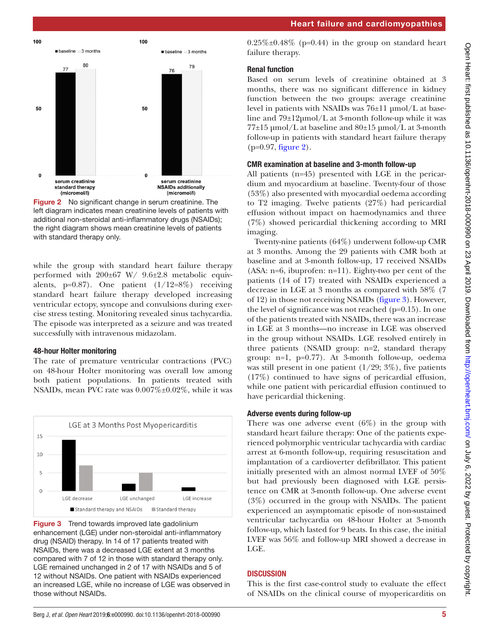

<span id="page-4-0"></span>**Figure 2** No significant change in serum creatinine. The left diagram indicates mean creatinine levels of patients with additional non-steroidal anti-inflammatory drugs (NSAIDs); the right diagram shows mean creatinine levels of patients with standard therapy only.

while the group with standard heart failure therapy performed with 200±67 W/ 9.6±2.8 metabolic equivalents, p=0.87). One patient (1/12=8%) receiving standard heart failure therapy developed increasing ventricular ectopy, syncope and convulsions during exercise stress testing. Monitoring revealed sinus tachycardia. The episode was interpreted as a seizure and was treated successfully with intravenous midazolam.

## 48-hour Holter monitoring

The rate of premature ventricular contractions (PVC) on 48-hour Holter monitoring was overall low among both patient populations. In patients treated with NSAIDs, mean PVC rate was 0.007%±0.02%, while it was



<span id="page-4-1"></span>**Figure 3** Trend towards improved late gadolinium enhancement (LGE) under non-steroidal anti-inflammatory drug (NSAID) therapy. In 14 of 17 patients treated with NSAIDs, there was a decreased LGE extent at 3 months compared with 7 of 12 in those with standard therapy only. LGE remained unchanged in 2 of 17 with NSAIDs and 5 of 12 without NSAIDs. One patient with NSAIDs experienced an increased LGE, while no increase of LGE was observed in those without NSAIDs.

 $0.25\% \pm 0.48\%$  (p=0.44) in the group on standard heart failure therapy.

## Renal function

Based on serum levels of creatinine obtained at 3 months, there was no significant difference in kidney function between the two groups: average creatinine level in patients with NSAIDs was 76±11 µmol/L at baseline and 79±12µmol/L at 3-month follow-up while it was 77±15 µmol/L at baseline and 80±15 µmol/L at 3-month follow-up in patients with standard heart failure therapy (p=0.97, [figure](#page-4-0) 2).

# CMR examination at baseline and 3-month follow-up

All patients (n=45) presented with LGE in the pericardium and myocardium at baseline. Twenty-four of those (53%) also presented with myocardial oedema according to T2 imaging. Twelve patients (27%) had pericardial effusion without impact on haemodynamics and three (7%) showed pericardial thickening according to MRI imaging.

Twenty-nine patients (64%) underwent follow-up CMR at 3 months. Among the 29 patients with CMR both at baseline and at 3-month follow-up, 17 received NSAIDs (ASA: n=6, ibuprofen: n=11). Eighty-two per cent of the patients (14 of 17) treated with NSAIDs experienced a decrease in LGE at 3 months as compared with 58% (7 of 12) in those not receiving NSAIDs ([figure](#page-4-1) 3). However, the level of significance was not reached (p=0.15). In one of the patients treated with NSAIDs, there was an increase in LGE at 3 months—no increase in LGE was observed in the group without NSAIDs. LGE resolved entirely in three patients (NSAID group: n=2, standard therapy group: n=1, p=0.77). At 3-month follow-up, oedema was still present in one patient  $(1/29; 3\%)$ , five patients (17%) continued to have signs of pericardial effusion, while one patient with pericardial effusion continued to have pericardial thickening.

# Adverse events during follow-up

There was one adverse event  $(6\%)$  in the group with standard heart failure therapy: One of the patients experienced polymorphic ventricular tachycardia with cardiac arrest at 6-month follow-up, requiring resuscitation and implantation of a cardioverter defibrillator. This patient initially presented with an almost normal LVEF of 50% but had previously been diagnosed with LGE persistence on CMR at 3-month follow-up. One adverse event (3%) occurred in the group with NSAIDs. The patient experienced an asymptomatic episode of non-sustained ventricular tachycardia on 48-hour Holter at 3-month follow-up, which lasted for 9 beats. In this case, the initial LVEF was 56% and follow-up MRI showed a decrease in LGE.

# **DISCUSSION**

This is the first case-control study to evaluate the effect of NSAIDs on the clinical course of myopericarditis on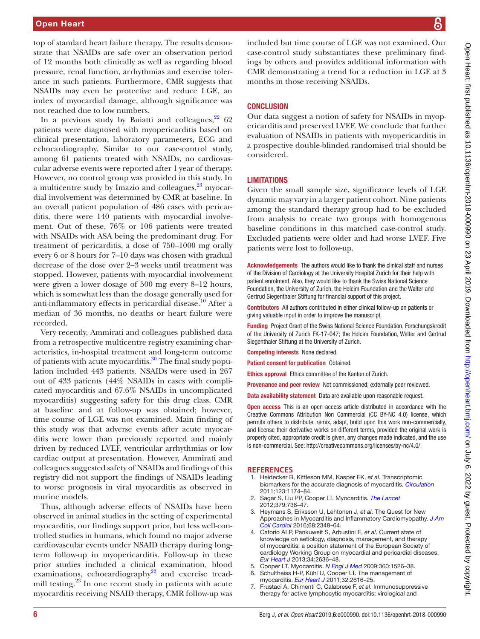top of standard heart failure therapy. The results demonstrate that NSAIDs are safe over an observation period of 12 months both clinically as well as regarding blood pressure, renal function, arrhythmias and exercise tolerance in such patients. Furthermore, CMR suggests that NSAIDs may even be protective and reduce LGE, an index of myocardial damage, although significance was not reached due to low numbers.

In a previous study by Buiatti and colleagues, $22$  62 patients were diagnosed with myopericarditis based on clinical presentation, laboratory parameters, ECG and echocardiography. Similar to our case-control study, among 61 patients treated with NSAIDs, no cardiovascular adverse events were reported after 1 year of therapy. However, no control group was provided in this study. In a multicentre study by Imazio and colleagues,<sup>[23](#page-6-12)</sup> myocardial involvement was determined by CMR at baseline. In an overall patient population of 486 cases with pericarditis, there were 140 patients with myocardial involvement. Out of these, 76% or 106 patients were treated with NSAIDs with ASA being the predominant drug. For treatment of pericarditis, a dose of 750–1000 mg orally every 6 or 8 hours for 7–10 days was chosen with gradual decrease of the dose over 2–3 weeks until treatment was stopped. However, patients with myocardial involvement were given a lower dosage of 500 mg every 8–12 hours, which is somewhat less than the dosage generally used for anti-inflammatory effects in pericardial disease.<sup>10</sup> After a median of 36 months, no deaths or heart failure were recorded.

Very recently, Ammirati and colleagues published data from a retrospective multicentre registry examining characteristics, in-hospital treatment and long-term outcome of patients with acute myocarditis. $30$  The final study population included 443 patients. NSAIDs were used in 267 out of 433 patients (44% NSAIDs in cases with complicated myocarditis and 67.6% NSAIDs in uncomplicated myocarditis) suggesting safety for this drug class. CMR at baseline and at follow-up was obtained; however, time course of LGE was not examined. Main finding of this study was that adverse events after acute myocarditis were lower than previously reported and mainly driven by reduced LVEF, ventricular arrhythmias or low cardiac output at presentation. However, Ammirati and colleagues suggested safety of NSAIDs and findings of this registry did not support the findings of NSAIDs leading to worse prognosis in viral myocarditis as observed in murine models.

Thus, although adverse effects of NSAIDs have been observed in animal studies in the setting of experimental myocarditis, our findings support prior, but less well-controlled studies in humans, which found no major adverse cardiovascular events under NSAID therapy during longterm follow-up in myopericarditis. Follow-up in these prior studies included a clinical examination, blood examinations, echocardiography $22$  and exercise treadmill testing.<sup>23</sup> In one recent study in patients with acute myocarditis receiving NSAID therapy, CMR follow-up was

included but time course of LGE was not examined. Our case-control study substantiates these preliminary findings by others and provides additional information with CMR demonstrating a trend for a reduction in LGE at 3 months in those receiving NSAIDs.

## **CONCLUSION**

Our data suggest a notion of safety for NSAIDs in myopericarditis and preserved LVEF. We conclude that further evaluation of NSAIDs in patients with myopericarditis in a prospective double-blinded randomised trial should be considered.

### **LIMITATIONS**

Given the small sample size, significance levels of LGE dynamic may vary in a larger patient cohort. Nine patients among the standard therapy group had to be excluded from analysis to create two groups with homogenous baseline conditions in this matched case-control study. Excluded patients were older and had worse LVEF. Five patients were lost to follow-up.

Acknowledgements The authors would like to thank the clinical staff and nurses of the Division of Cardiology at the University Hospital Zurich for their help with patient enrolment. Also, they would like to thank the Swiss National Science Foundation, the University of Zurich, the Holcim Foundation and the Walter and Gertrud Siegenthaler Stiftung for financial support of this project.

Contributors All authors contributed in either clinical follow-up on patients or giving valuable input in order to improve the manuscript.

Funding Project Grant of the Swiss National Science Foundation, Forschungskredit of the University of Zurich FK-17-047; the Holcim Foundation, Walter and Gertrud Siegenthaler Stiftung at the University of Zurich.

Competing interests None declared.

Patient consent for publication Obtained.

Ethics approval Ethics committee of the Kanton of Zurich.

Provenance and peer review Not commissioned; externally peer reviewed.

Data availability statement Data are available upon reasonable request.

Open access This is an open access article distributed in accordance with the Creative Commons Attribution Non Commercial (CC BY-NC 4.0) license, which permits others to distribute, remix, adapt, build upon this work non-commercially, and license their derivative works on different terms, provided the original work is properly cited, appropriate credit is given, any changes made indicated, and the use is non-commercial. See: [http://creativecommons.org/licenses/by-nc/4.0/.](http://creativecommons.org/licenses/by-nc/4.0/)

#### **References**

- <span id="page-5-0"></span>1. Heidecker B, Kittleson MM, Kasper EK, *et al*. Transcriptomic biomarkers for the accurate diagnosis of myocarditis. *[Circulation](http://dx.doi.org/10.1161/CIRCULATIONAHA.110.002857)* 2011;123:1174–84.
- 2. Sagar S, Liu PP, Cooper LT. Myocarditis. *[The Lancet](http://dx.doi.org/10.1016/S0140-6736(11)60648-X)* 2012;379:738–47.
- 3. Heymans S, Eriksson U, Lehtonen J, *et al*. The Quest for New Approaches in Myocarditis and Inflammatory Cardiomyopathy. *[J Am](http://dx.doi.org/10.1016/j.jacc.2016.09.937)  [Coll Cardiol](http://dx.doi.org/10.1016/j.jacc.2016.09.937)* 2016;68:2348–64.
- <span id="page-5-1"></span>4. Caforio ALP, Pankuweit S, Arbustini E, *et al*. Current state of knowledge on aetiology, diagnosis, management, and therapy of myocarditis: a position statement of the European Society of cardiology Working Group on myocardial and pericardial diseases. *[Eur Heart J](http://dx.doi.org/10.1093/eurheartj/eht210)* 2013;34:2636–48.
- <span id="page-5-2"></span>5. Cooper LT. Myocarditis. *[N Engl J Med](http://dx.doi.org/10.1056/NEJMra0800028)* 2009;360:1526–38.
- 6. Schultheiss H-P, Kühl U, Cooper LT. The management of
- <span id="page-5-3"></span>myocarditis. *[Eur Heart J](http://dx.doi.org/10.1093/eurheartj/ehr165)* 2011;32:2616–25. 7. Frustaci A, Chimenti C, Calabrese F, *et al*. Immunosuppressive therapy for active lymphocytic myocarditis: virological and